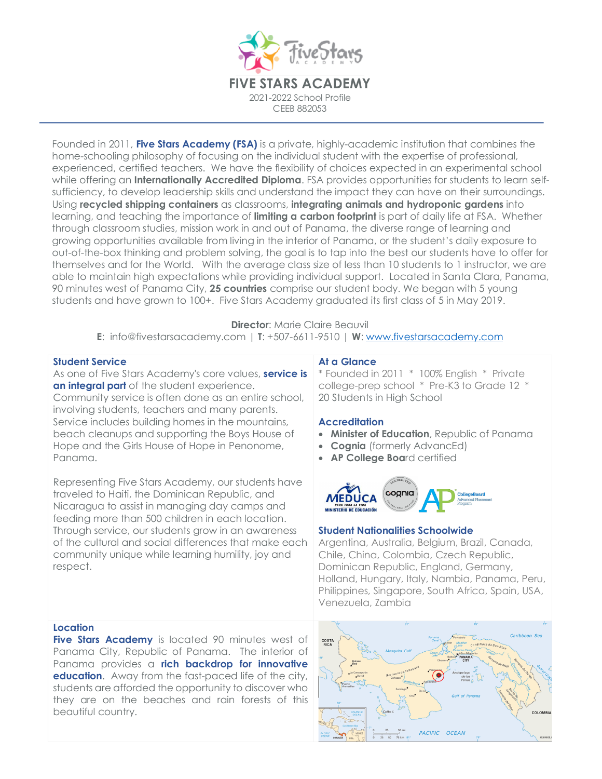

Founded in 2011, **Five Stars Academy (FSA)** is a private, highly-academic institution that combines the home-schooling philosophy of focusing on the individual student with the expertise of professional, experienced, certified teachers. We have the flexibility of choices expected in an experimental school while offering an **Internationally Accredited Diploma**. FSA provides opportunities for students to learn selfsufficiency, to develop leadership skills and understand the impact they can have on their surroundings. Using **recycled shipping containers** as classrooms, **integrating animals and hydroponic gardens** into learning, and teaching the importance of **limiting a carbon footprint** is part of daily life at FSA. Whether through classroom studies, mission work in and out of Panama, the diverse range of learning and growing opportunities available from living in the interior of Panama, or the student's daily exposure to out-of-the-box thinking and problem solving, the goal is to tap into the best our students have to offer for themselves and for the World. With the average class size of less than 10 students to 1 instructor, we are able to maintain high expectations while providing individual support. Located in Santa Clara, Panama, 90 minutes west of Panama City, **25 countries** comprise our student body. We began with 5 young students and have grown to 100+. Five Stars Academy graduated its first class of 5 in May 2019.

# **Director: Marie Claire Beauvil**

**E**: info@fivestarsacademy.com | **T**: +507-6611-9510 | **W**: www.fivestarsacademy.com

# **Student Service**

As one of Five Stars Academy's core values, **service is an integral part** of the student experience.

Community service is often done as an entire school, involving students, teachers and many parents. Service includes building homes in the mountains, beach cleanups and supporting the Boys House of Hope and the Girls House of Hope in Penonome, Panama.

Representing Five Stars Academy, our students have traveled to Haiti, the Dominican Republic, and Nicaragua to assist in managing day camps and feeding more than 500 children in each location. Through service, our students grow in an awareness of the cultural and social differences that make each community unique while learning humility, joy and respect.

# **At a Glance**

\* Founded in 2011 \*100% English\* Private college-prep school \* Pre-K3 to Grade 12 \* 20 Students in High School

# **Accreditation**

- **Minister of Education**, Republic of Panama
- **Cognia** (formerly AdvancEd)
- **AP College Boa**rd certified



#### **Student Nationalities Schoolwide**

Argentina, Australia, Belgium, Brazil, Canada, Chile, China, Colombia, Czech Republic, Dominican Republic, England, Germany, Holland, Hungary, Italy, Nambia, Panama, Peru, Philippines, Singapore, South Africa, Spain, USA, Venezuela, Zambia

# **Location**

**Five Stars Academy** is located 90 minutes west of Panama City, Republic of Panama. The interior of Panama provides a **rich backdrop for innovative education.** Away from the fast-paced life of the city, students are afforded the opportunity to discover who they are on the beaches and rain forests of this beautiful country.